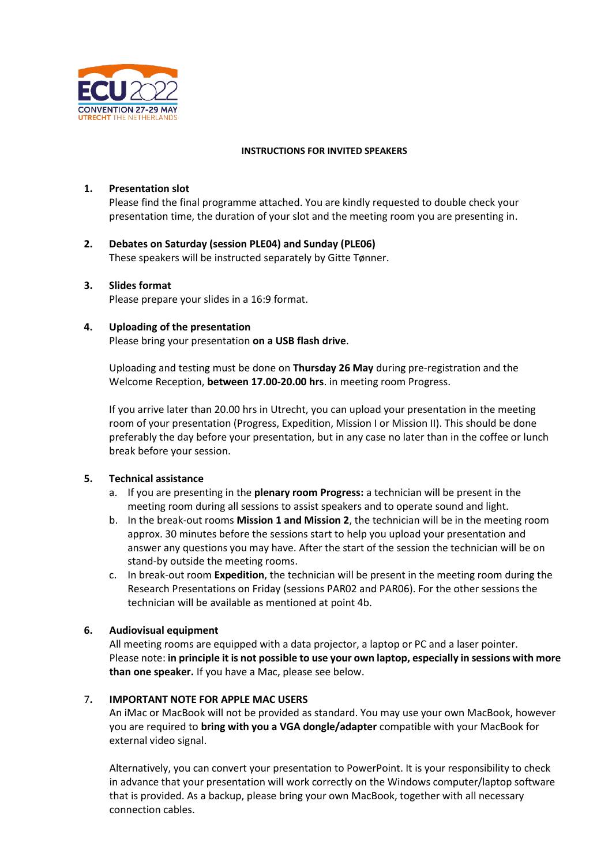

### **INSTRUCTIONS FOR INVITED SPEAKERS**

### **1. Presentation slot**

Please find the final programme attached. You are kindly requested to double check your presentation time, the duration of your slot and the meeting room you are presenting in.

**2. Debates on Saturday (session PLE04) and Sunday (PLE06)** These speakers will be instructed separately by Gitte Tønner.

#### **3. Slides format**

Please prepare your slides in a 16:9 format.

#### **4. Uploading of the presentation**

Please bring your presentation **on a USB flash drive**.

Uploading and testing must be done on **Thursday 26 May** during pre-registration and the Welcome Reception, **between 17.00-20.00 hrs**. in meeting room Progress.

If you arrive later than 20.00 hrs in Utrecht, you can upload your presentation in the meeting room of your presentation (Progress, Expedition, Mission I or Mission II). This should be done preferably the day before your presentation, but in any case no later than in the coffee or lunch break before your session.

#### **5. Technical assistance**

- a. If you are presenting in the **plenary room Progress:** a technician will be present in the meeting room during all sessions to assist speakers and to operate sound and light.
- b. In the break-out rooms **Mission 1 and Mission 2**, the technician will be in the meeting room approx. 30 minutes before the sessions start to help you upload your presentation and answer any questions you may have. After the start of the session the technician will be on stand-by outside the meeting rooms.
- c. In break-out room **Expedition**, the technician will be present in the meeting room during the Research Presentations on Friday (sessions PAR02 and PAR06). For the other sessions the technician will be available as mentioned at point 4b.

### **6. Audiovisual equipment**

All meeting rooms are equipped with a data projector, a laptop or PC and a laser pointer. Please note: **in principle it is not possible to use your own laptop, especially in sessions with more than one speaker.** If you have a Mac, please see below.

# 7**. IMPORTANT NOTE FOR APPLE MAC USERS**

An iMac or MacBook will not be provided as standard. You may use your own MacBook, however you are required to **bring with you a VGA dongle/adapter** compatible with your MacBook for external video signal.

Alternatively, you can convert your presentation to PowerPoint. It is your responsibility to check in advance that your presentation will work correctly on the Windows computer/laptop software that is provided. As a backup, please bring your own MacBook, together with all necessary connection cables.